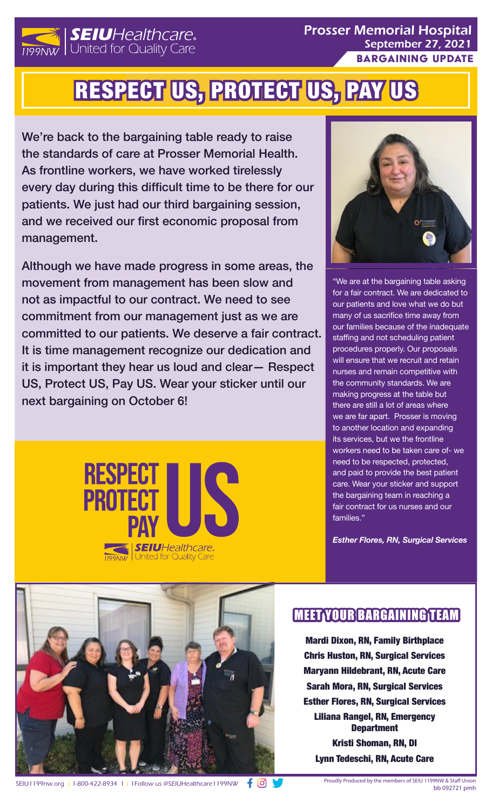

Prosser Memorial Hospital September 27, 2021 Bargaining update

## RESPECT US, PROTECT US, PAY US

We're back to the bargaining table ready to raise the standards of care at Prosser Memorial Health. As frontline workers, we have worked tirelessly every day during this difficult time to be there for our patients. We just had our third bargaining session, and we received our first economic proposal from management.

Although we have made progress in some areas, the movement from management has been slow and not as impactful to our contract. We need to see commitment from our management just as we are committed to our patients. We deserve a fair contract. It is time management recognize our dedication and it is important they hear us loud and clear— Respect US, Protect US, Pay US. Wear your sticker until our next bargaining on October 6!





"We are at the bargaining table asking for a fair contract. We are dedicated to our patients and love what we do but many of us sacrifice time away from our families because of the inadequate staffing and not scheduling patient procedures properly. Our proposals will ensure that we recruit and retain nurses and remain competitive with the community standards. We are making progress at the table but there are still a lot of areas where we are far apart. Prosser is moving to another location and expanding its services, but we the frontline workers need to be taken care of- we need to be respected, protected, and paid to provide the best patient care. Wear your sticker and support the bargaining team in reaching a fair contract for us nurses and our families."

*Esther Flores, RN, Surgical Services* 



## MEET YOUR BARGAINING TEAM

Mardi Dixon, RN, Family Birthplace Chris Huston, RN, Surgical Services Maryann Hildebrant, RN, Acute Care Sarah Mora, RN, Surgical Services Esther Flores, RN, Surgical Services Liliana Rangel, RN, Emergency **Department** Kristi Shoman, RN, DI Lynn Tedeschi, RN, Acute Care